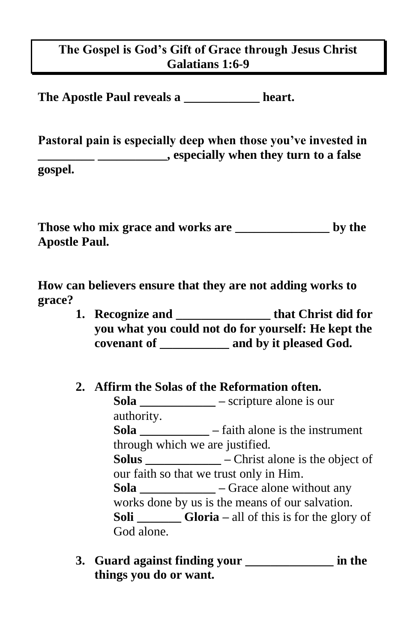## **The Gospel is God's Gift of Grace through Jesus Christ Galatians 1:6-9**

**The Apostle Paul reveals a \_\_\_\_\_\_\_\_\_\_\_\_ heart.**

**Pastoral pain is especially deep when those you've invested in \_\_\_\_\_\_\_\_\_ \_\_\_\_\_\_\_\_\_\_\_, especially when they turn to a false gospel.**

**Those who mix grace and works are \_\_\_\_\_\_\_\_\_\_\_\_\_\_\_ by the Apostle Paul.**

**How can believers ensure that they are not adding works to grace?**

- **1. Recognize and \_\_\_\_\_\_\_\_\_\_\_\_\_\_\_ that Christ did for you what you could not do for yourself: He kept the covenant of \_\_\_\_\_\_\_\_\_\_\_ and by it pleased God.**
- **2. Affirm the Solas of the Reformation often. Sola \_\_\_\_\_\_\_\_\_\_\_\_ –** scripture alone is our authority. **Sola \_\_\_\_\_\_\_\_\_\_\_ –** faith alone is the instrument through which we are justified. **Solus \_\_\_\_\_\_\_\_\_\_\_\_ –** Christ alone is the object of our faith so that we trust only in Him. **Sola \_\_\_\_\_\_\_\_\_\_\_\_ –** Grace alone without any works done by us is the means of our salvation. **Soli \_\_\_\_\_\_\_ Gloria –** all of this is for the glory of God alone.
- **3. Guard against finding your \_\_\_\_\_\_\_\_\_\_\_\_\_\_ in the things you do or want.**